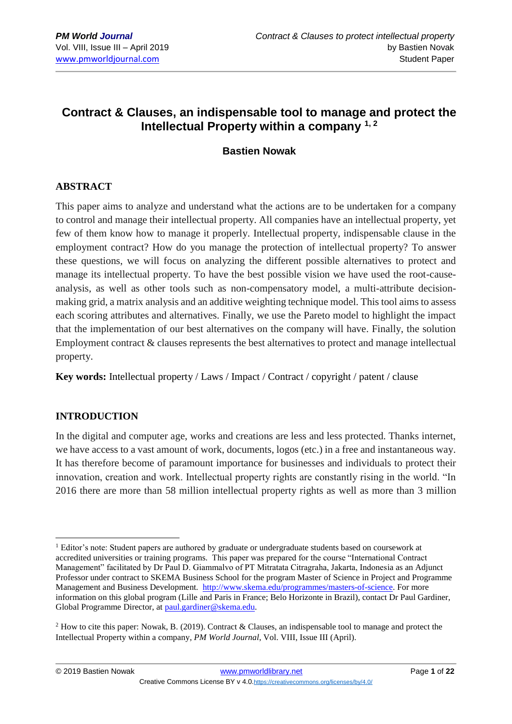# **Contract & Clauses, an indispensable tool to manage and protect the Intellectual Property within a company 1, 2**

### **Bastien Nowak**

### **ABSTRACT**

This paper aims to analyze and understand what the actions are to be undertaken for a company to control and manage their intellectual property. All companies have an intellectual property, yet few of them know how to manage it properly. Intellectual property, indispensable clause in the employment contract? How do you manage the protection of intellectual property? To answer these questions, we will focus on analyzing the different possible alternatives to protect and manage its intellectual property. To have the best possible vision we have used the root-causeanalysis, as well as other tools such as non-compensatory model, a multi-attribute decisionmaking grid, a matrix analysis and an additive weighting technique model. This tool aims to assess each scoring attributes and alternatives. Finally, we use the Pareto model to highlight the impact that the implementation of our best alternatives on the company will have. Finally, the solution Employment contract & clauses represents the best alternatives to protect and manage intellectual property.

**Key words:** Intellectual property / Laws / Impact / Contract / copyright / patent / clause

#### **INTRODUCTION**

In the digital and computer age, works and creations are less and less protected. Thanks internet, we have access to a vast amount of work, documents, logos (etc.) in a free and instantaneous way. It has therefore become of paramount importance for businesses and individuals to protect their innovation, creation and work. Intellectual property rights are constantly rising in the world. "In 2016 there are more than 58 million intellectual property rights as well as more than 3 million

<sup>1</sup> <sup>1</sup> Editor's note: Student papers are authored by graduate or undergraduate students based on coursework at accredited universities or training programs. This paper was prepared for the course "International Contract Management" facilitated by Dr Paul D. Giammalvo of PT Mitratata Citragraha, Jakarta, Indonesia as an Adjunct Professor under contract to SKEMA Business School for the program Master of Science in Project and Programme Management and Business Development. [http://www.skema.edu/programmes/masters-of-science.](http://www.skema.edu/programmes/masters-of-science) For more information on this global program (Lille and Paris in France; Belo Horizonte in Brazil), contact Dr Paul Gardiner, Global Programme Director, a[t paul.gardiner@skema.edu.](mailto:paul.gardiner@skema.edu)

<sup>2</sup> How to cite this paper: Nowak, B. (2019). Contract & Clauses, an indispensable tool to manage and protect the Intellectual Property within a company, *PM World Journal*, Vol. VIII, Issue III (April).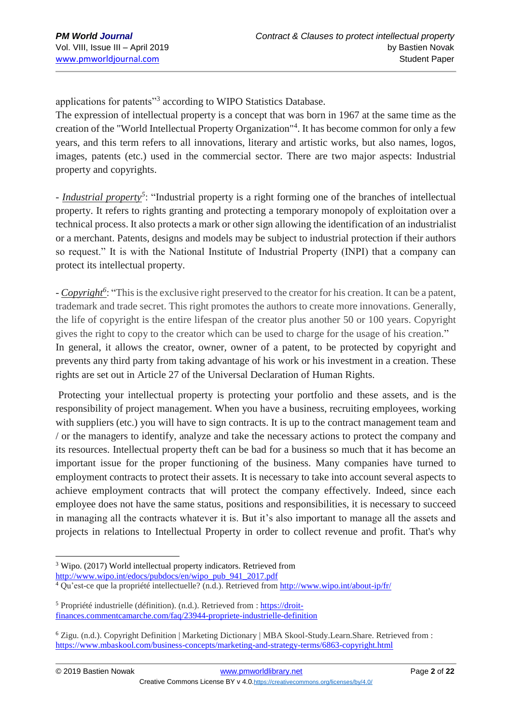applications for patents"<sup>3</sup> according to WIPO Statistics Database.

The expression of intellectual property is a concept that was born in 1967 at the same time as the creation of the "World Intellectual Property Organization"<sup>4</sup> . It has become common for only a few years, and this term refers to all innovations, literary and artistic works, but also names, logos, images, patents (etc.) used in the commercial sector. There are two major aspects: Industrial property and copyrights.

- *Industrial property<sup>5</sup>*: "Industrial property is a right forming one of the branches of intellectual property. It refers to rights granting and protecting a temporary monopoly of exploitation over a technical process. It also protects a mark or other sign allowing the identification of an industrialist or a merchant. Patents, designs and models may be subject to industrial protection if their authors so request." It is with the National Institute of Industrial Property (INPI) that a company can protect its intellectual property.

- *Copyright<sup>6</sup>*: "This is the exclusive right preserved to the creator for his creation. It can be a patent, trademark and trade secret. This right promotes the authors to create more innovations. Generally, the life of copyright is the entire lifespan of the creator plus another 50 or 100 years. Copyright gives the right to copy to the creator which can be used to charge for the usage of his creation." In general, it allows the creator, owner, owner of a patent, to be protected by copyright and prevents any third party from taking advantage of his work or his investment in a creation. These rights are set out in Article 27 of the Universal Declaration of Human Rights.

Protecting your intellectual property is protecting your portfolio and these assets, and is the responsibility of project management. When you have a business, recruiting employees, working with suppliers (etc.) you will have to sign contracts. It is up to the contract management team and / or the managers to identify, analyze and take the necessary actions to protect the company and its resources. Intellectual property theft can be bad for a business so much that it has become an important issue for the proper functioning of the business. Many companies have turned to employment contracts to protect their assets. It is necessary to take into account several aspects to achieve employment contracts that will protect the company effectively. Indeed, since each employee does not have the same status, positions and responsibilities, it is necessary to succeed in managing all the contracts whatever it is. But it's also important to manage all the assets and projects in relations to Intellectual Property in order to collect revenue and profit. That's why

<sup>1</sup> <sup>3</sup> Wipo. (2017) World intellectual property indicators. Retrieved from

[http://www.wipo.int/edocs/pubdocs/en/wipo\\_pub\\_941\\_2017.pdf](http://www.wipo.int/edocs/pubdocs/en/wipo_pub_941_2017.pdf)

<sup>4</sup> Qu'est-ce que la propriété intellectuelle? (n.d.). Retrieved fro[m http://www.wipo.int/about-ip/fr/](http://www.wipo.int/about-ip/fr/)

<sup>&</sup>lt;sup>5</sup> Propriété industrielle (définition). (n.d.). Retrieved from : [https://droit](https://droit-finances.commentcamarche.com/faq/23944-propriete-industrielle-definition)[finances.commentcamarche.com/faq/23944-propriete-industrielle-definition](https://droit-finances.commentcamarche.com/faq/23944-propriete-industrielle-definition)

<sup>6</sup> Zigu. (n.d.). Copyright Definition | Marketing Dictionary | MBA Skool-Study.Learn.Share. Retrieved from : <https://www.mbaskool.com/business-concepts/marketing-and-strategy-terms/6863-copyright.html>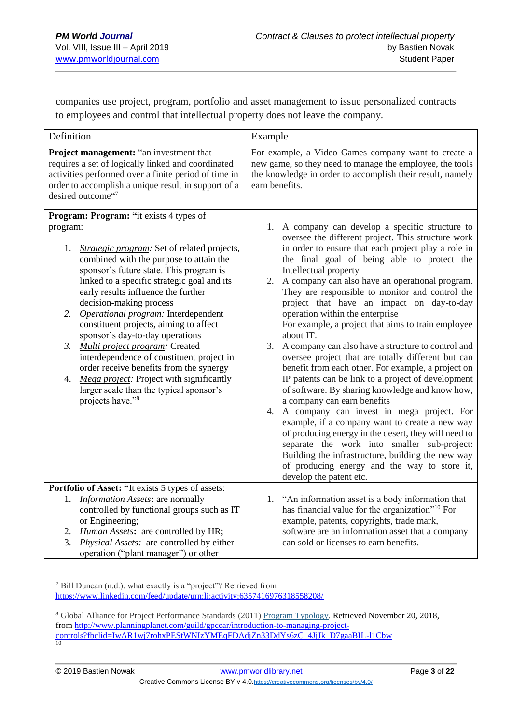companies use project, program, portfolio and asset management to issue personalized contracts to employees and control that intellectual property does not leave the company.

| Definition                                                                                                                                                                                                                                                                                                                                                                                                                                                                                                                                                                                                                                                  | Example                                                                                                                                                                                                                                                                                                                                                                                                                                                                                                                                                                                                                                                                                                                                                                                                                                                                                                                                                                                                                                                                         |  |  |  |  |  |
|-------------------------------------------------------------------------------------------------------------------------------------------------------------------------------------------------------------------------------------------------------------------------------------------------------------------------------------------------------------------------------------------------------------------------------------------------------------------------------------------------------------------------------------------------------------------------------------------------------------------------------------------------------------|---------------------------------------------------------------------------------------------------------------------------------------------------------------------------------------------------------------------------------------------------------------------------------------------------------------------------------------------------------------------------------------------------------------------------------------------------------------------------------------------------------------------------------------------------------------------------------------------------------------------------------------------------------------------------------------------------------------------------------------------------------------------------------------------------------------------------------------------------------------------------------------------------------------------------------------------------------------------------------------------------------------------------------------------------------------------------------|--|--|--|--|--|
| Project management: "an investment that<br>requires a set of logically linked and coordinated<br>activities performed over a finite period of time in<br>order to accomplish a unique result in support of a<br>desired outcome"7                                                                                                                                                                                                                                                                                                                                                                                                                           | For example, a Video Games company want to create a<br>new game, so they need to manage the employee, the tools<br>the knowledge in order to accomplish their result, namely<br>earn benefits.                                                                                                                                                                                                                                                                                                                                                                                                                                                                                                                                                                                                                                                                                                                                                                                                                                                                                  |  |  |  |  |  |
| <b>Program: Program: "it exists 4 types of</b>                                                                                                                                                                                                                                                                                                                                                                                                                                                                                                                                                                                                              |                                                                                                                                                                                                                                                                                                                                                                                                                                                                                                                                                                                                                                                                                                                                                                                                                                                                                                                                                                                                                                                                                 |  |  |  |  |  |
| program:<br>Strategic program: Set of related projects,<br>1.<br>combined with the purpose to attain the<br>sponsor's future state. This program is<br>linked to a specific strategic goal and its<br>early results influence the further<br>decision-making process<br>Operational program: Interdependent<br>2.<br>constituent projects, aiming to affect<br>sponsor's day-to-day operations<br>3.<br>Multi project program: Created<br>interdependence of constituent project in<br>order receive benefits from the synergy<br>Mega project: Project with significantly<br>4.<br>larger scale than the typical sponsor's<br>projects have." <sup>8</sup> | 1. A company can develop a specific structure to<br>oversee the different project. This structure work<br>in order to ensure that each project play a role in<br>the final goal of being able to protect the<br>Intellectual property<br>2. A company can also have an operational program.<br>They are responsible to monitor and control the<br>project that have an impact on day-to-day<br>operation within the enterprise<br>For example, a project that aims to train employee<br>about IT.<br>3. A company can also have a structure to control and<br>oversee project that are totally different but can<br>benefit from each other. For example, a project on<br>IP patents can be link to a project of development<br>of software. By sharing knowledge and know how,<br>a company can earn benefits<br>A company can invest in mega project. For<br>4.<br>example, if a company want to create a new way<br>of producing energy in the desert, they will need to<br>separate the work into smaller sub-project:<br>Building the infrastructure, building the new way |  |  |  |  |  |
|                                                                                                                                                                                                                                                                                                                                                                                                                                                                                                                                                                                                                                                             | of producing energy and the way to store it,<br>develop the patent etc.                                                                                                                                                                                                                                                                                                                                                                                                                                                                                                                                                                                                                                                                                                                                                                                                                                                                                                                                                                                                         |  |  |  |  |  |
| Portfolio of Asset: "It exists 5 types of assets:                                                                                                                                                                                                                                                                                                                                                                                                                                                                                                                                                                                                           |                                                                                                                                                                                                                                                                                                                                                                                                                                                                                                                                                                                                                                                                                                                                                                                                                                                                                                                                                                                                                                                                                 |  |  |  |  |  |
| <b>Information Assets:</b> are normally<br>1.<br>controlled by functional groups such as IT<br>or Engineering;<br><i>Human Assets:</i> are controlled by HR;<br>2.<br><i>Physical Assets:</i> are controlled by either<br>3.<br>operation ("plant manager") or other                                                                                                                                                                                                                                                                                                                                                                                        | 1. "An information asset is a body information that<br>has financial value for the organization" <sup>10</sup> For<br>example, patents, copyrights, trade mark,<br>software are an information asset that a company<br>can sold or licenses to earn benefits.                                                                                                                                                                                                                                                                                                                                                                                                                                                                                                                                                                                                                                                                                                                                                                                                                   |  |  |  |  |  |

1 <sup>7</sup> Bill Duncan (n.d.). what exactly is a "project"? Retrieved from <https://www.linkedin.com/feed/update/urn:li:activity:6357416976318558208/>

<sup>8</sup> Global Alliance for Project Performance Standards (2011) [Program Typology.](http://globalpmstandards.org/tools/complexity-rating/program-typology/) Retrieved November 20, 2018, fro[m http://www.planningplanet.com/guild/gpccar/introduction-to-managing-project](http://www.planningplanet.com/guild/gpccar/introduction-to-managing-project-controls?fbclid=IwAR1wj7rohxPEStWNIzYMEqFDAdjZn33DdYs6zC_4JjJk_D7gaaBIL-l1Cbw)[controls?fbclid=IwAR1wj7rohxPEStWNIzYMEqFDAdjZn33DdYs6zC\\_4JjJk\\_D7gaaBIL-l1Cbw](http://www.planningplanet.com/guild/gpccar/introduction-to-managing-project-controls?fbclid=IwAR1wj7rohxPEStWNIzYMEqFDAdjZn33DdYs6zC_4JjJk_D7gaaBIL-l1Cbw)<br><sup>10</sup>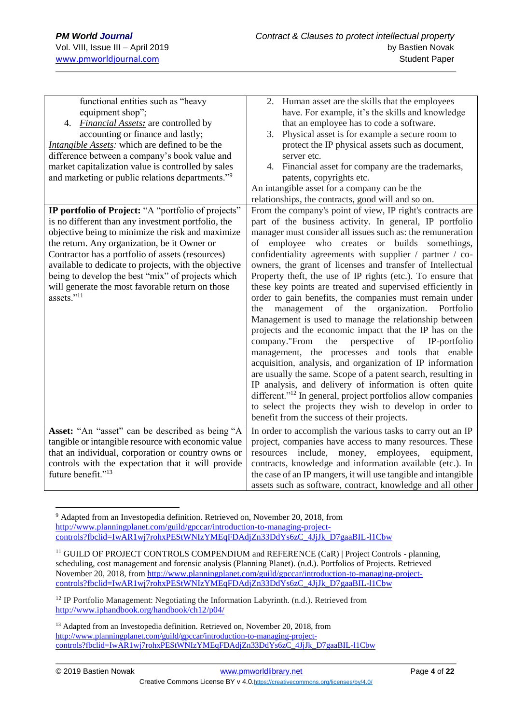| functional entities such as "heavy                           | 2. Human asset are the skills that the employees                         |
|--------------------------------------------------------------|--------------------------------------------------------------------------|
| equipment shop";                                             | have. For example, it's the skills and knowledge                         |
| <i>Financial Assets:</i> are controlled by<br>4.             | that an employee has to code a software.                                 |
| accounting or finance and lastly;                            | Physical asset is for example a secure room to<br>3.                     |
| <i>Intangible Assets:</i> which are defined to be the        | protect the IP physical assets such as document,                         |
| difference between a company's book value and                | server etc.                                                              |
| market capitalization value is controlled by sales           | 4. Financial asset for company are the trademarks,                       |
| and marketing or public relations departments." <sup>9</sup> | patents, copyrights etc.                                                 |
|                                                              | An intangible asset for a company can be the                             |
|                                                              | relationships, the contracts, good will and so on.                       |
| IP portfolio of Project: "A "portfolio of projects"          | From the company's point of view, IP right's contracts are               |
| is no different than any investment portfolio, the           | part of the business activity. In general, IP portfolio                  |
| objective being to minimize the risk and maximize            | manager must consider all issues such as: the remuneration               |
| the return. Any organization, be it Owner or                 | employee who creates or builds somethings,<br>of                         |
| Contractor has a portfolio of assets (resources)             | confidentiality agreements with supplier / partner / co-                 |
| available to dedicate to projects, with the objective        | owners, the grant of licenses and transfer of Intellectual               |
| being to develop the best "mix" of projects which            | Property theft, the use of IP rights (etc.). To ensure that              |
| will generate the most favorable return on those             | these key points are treated and supervised efficiently in               |
| assets." <sup>11</sup>                                       | order to gain benefits, the companies must remain under                  |
|                                                              | of the<br>organization.<br>management<br>Portfolio<br>the                |
|                                                              | Management is used to manage the relationship between                    |
|                                                              | projects and the economic impact that the IP has on the                  |
|                                                              | company."From<br>the<br>perspective<br>of<br>IP-portfolio                |
|                                                              | management, the processes and tools that enable                          |
|                                                              | acquisition, analysis, and organization of IP information                |
|                                                              | are usually the same. Scope of a patent search, resulting in             |
|                                                              | IP analysis, and delivery of information is often quite                  |
|                                                              | different." <sup>12</sup> In general, project portfolios allow companies |
|                                                              | to select the projects they wish to develop in order to                  |
|                                                              | benefit from the success of their projects.                              |
| Asset: "An "asset" can be described as being "A              | In order to accomplish the various tasks to carry out an IP              |
| tangible or intangible resource with economic value          | project, companies have access to many resources. These                  |
| that an individual, corporation or country owns or           | money,<br>employees,<br>include,<br>equipment,<br>resources              |
| controls with the expectation that it will provide           | contracts, knowledge and information available (etc.). In                |
| future benefit." <sup>13</sup>                               | the case of an IP mangers, it will use tangible and intangible           |
|                                                              | assets such as software, contract, knowledge and all other               |
|                                                              |                                                                          |

<sup>9</sup> Adapted from an Investopedia definition. Retrieved on, November 20, 2018, from [http://www.planningplanet.com/guild/gpccar/introduction-to-managing-project](http://www.planningplanet.com/guild/gpccar/introduction-to-managing-project-controls?fbclid=IwAR1wj7rohxPEStWNIzYMEqFDAdjZn33DdYs6zC_4JjJk_D7gaaBIL-l1Cbw)[controls?fbclid=IwAR1wj7rohxPEStWNIzYMEqFDAdjZn33DdYs6zC\\_4JjJk\\_D7gaaBIL-l1Cbw](http://www.planningplanet.com/guild/gpccar/introduction-to-managing-project-controls?fbclid=IwAR1wj7rohxPEStWNIzYMEqFDAdjZn33DdYs6zC_4JjJk_D7gaaBIL-l1Cbw)

<sup>11</sup> GUILD OF PROJECT CONTROLS COMPENDIUM and REFERENCE (CaR) | Project Controls - planning, scheduling, cost management and forensic analysis (Planning Planet). (n.d.). Portfolios of Projects. Retrieved November 20, 2018, from [http://www.planningplanet.com/guild/gpccar/introduction-to-managing-project](http://www.planningplanet.com/guild/gpccar/introduction-to-managing-project-controls?fbclid=IwAR1wj7rohxPEStWNIzYMEqFDAdjZn33DdYs6zC_4JjJk_D7gaaBIL-l1Cbw)[controls?fbclid=IwAR1wj7rohxPEStWNIzYMEqFDAdjZn33DdYs6zC\\_4JjJk\\_D7gaaBIL-l1Cbw](http://www.planningplanet.com/guild/gpccar/introduction-to-managing-project-controls?fbclid=IwAR1wj7rohxPEStWNIzYMEqFDAdjZn33DdYs6zC_4JjJk_D7gaaBIL-l1Cbw)

<sup>&</sup>lt;sup>12</sup> IP Portfolio Management: Negotiating the Information Labyrinth. (n.d.). Retrieved from <http://www.iphandbook.org/handbook/ch12/p04/>

<sup>&</sup>lt;sup>13</sup> Adapted from an Investopedia definition. Retrieved on, November 20, 2018, from [http://www.planningplanet.com/guild/gpccar/introduction-to-managing-project](http://www.planningplanet.com/guild/gpccar/introduction-to-managing-project-controls?fbclid=IwAR1wj7rohxPEStWNIzYMEqFDAdjZn33DdYs6zC_4JjJk_D7gaaBIL-l1Cbw)[controls?fbclid=IwAR1wj7rohxPEStWNIzYMEqFDAdjZn33DdYs6zC\\_4JjJk\\_D7gaaBIL-l1Cbw](http://www.planningplanet.com/guild/gpccar/introduction-to-managing-project-controls?fbclid=IwAR1wj7rohxPEStWNIzYMEqFDAdjZn33DdYs6zC_4JjJk_D7gaaBIL-l1Cbw)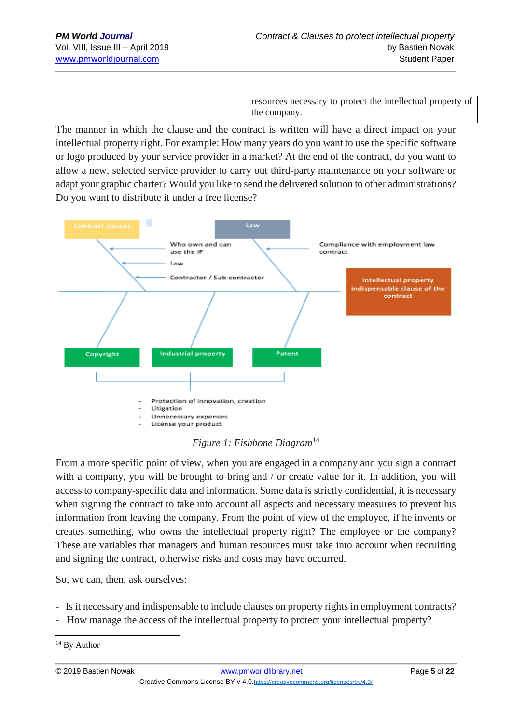resources necessary to protect the intellectual property of the company.

The manner in which the clause and the contract is written will have a direct impact on your intellectual property right. For example: How many years do you want to use the specific software or logo produced by your service provider in a market? At the end of the contract, do you want to allow a new, selected service provider to carry out third-party maintenance on your software or adapt your graphic charter? Would you like to send the delivered solution to other administrations? Do you want to distribute it under a free license?



*Figure 1: Fishbone Diagram*<sup>14</sup>

From a more specific point of view, when you are engaged in a company and you sign a contract with a company, you will be brought to bring and / or create value for it. In addition, you will access to company-specific data and information. Some data is strictly confidential, it is necessary when signing the contract to take into account all aspects and necessary measures to prevent his information from leaving the company. From the point of view of the employee, if he invents or creates something, who owns the intellectual property right? The employee or the company? These are variables that managers and human resources must take into account when recruiting and signing the contract, otherwise risks and costs may have occurred.

So, we can, then, ask ourselves:

- Is it necessary and indispensable to include clauses on property rights in employment contracts?
- How manage the access of the intellectual property to protect your intellectual property?

<sup>1</sup> <sup>14</sup> By Author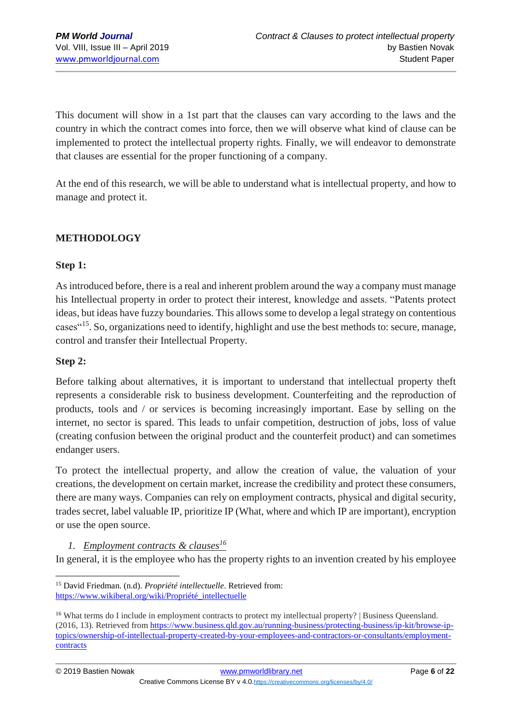This document will show in a 1st part that the clauses can vary according to the laws and the country in which the contract comes into force, then we will observe what kind of clause can be implemented to protect the intellectual property rights. Finally, we will endeavor to demonstrate that clauses are essential for the proper functioning of a company.

At the end of this research, we will be able to understand what is intellectual property, and how to manage and protect it.

### **METHODOLOGY**

#### **Step 1:**

As introduced before, there is a real and inherent problem around the way a company must manage his Intellectual property in order to protect their interest, knowledge and assets. "Patents protect ideas, but ideas have fuzzy boundaries. This allows some to develop a legal strategy on contentious cases"<sup>15</sup>. So, organizations need to identify, highlight and use the best methods to: secure, manage, control and transfer their Intellectual Property.

#### **Step 2:**

1

Before talking about alternatives, it is important to understand that intellectual property theft represents a considerable risk to business development. Counterfeiting and the reproduction of products, tools and / or services is becoming increasingly important. Ease by selling on the internet, no sector is spared. This leads to unfair competition, destruction of jobs, loss of value (creating confusion between the original product and the counterfeit product) and can sometimes endanger users.

To protect the intellectual property, and allow the creation of value, the valuation of your creations, the development on certain market, increase the credibility and protect these consumers, there are many ways. Companies can rely on employment contracts, physical and digital security, trades secret, label valuable IP, prioritize IP (What, where and which IP are important), encryption or use the open source.

### *1. Employment contracts & clauses<sup>16</sup>*

In general, it is the employee who has the property rights to an invention created by his employee

<sup>15</sup> David Friedman. (n.d). *Propriété intellectuelle*. Retrieved from: [https://www.wikiberal.org/wiki/Propriété\\_intellectuelle](https://www.wikiberal.org/wiki/Propriété_intellectuelle)

<sup>&</sup>lt;sup>16</sup> What terms do I include in employment contracts to protect my intellectual property? | Business Queensland. (2016, 13). Retrieved from [https://www.business.qld.gov.au/running-business/protecting-business/ip-kit/browse-ip](https://www.business.qld.gov.au/running-business/protecting-business/ip-kit/browse-ip-topics/ownership-of-intellectual-property-created-by-your-employees-and-contractors-or-consultants/employment-contracts)[topics/ownership-of-intellectual-property-created-by-your-employees-and-contractors-or-consultants/employment](https://www.business.qld.gov.au/running-business/protecting-business/ip-kit/browse-ip-topics/ownership-of-intellectual-property-created-by-your-employees-and-contractors-or-consultants/employment-contracts)[contracts](https://www.business.qld.gov.au/running-business/protecting-business/ip-kit/browse-ip-topics/ownership-of-intellectual-property-created-by-your-employees-and-contractors-or-consultants/employment-contracts)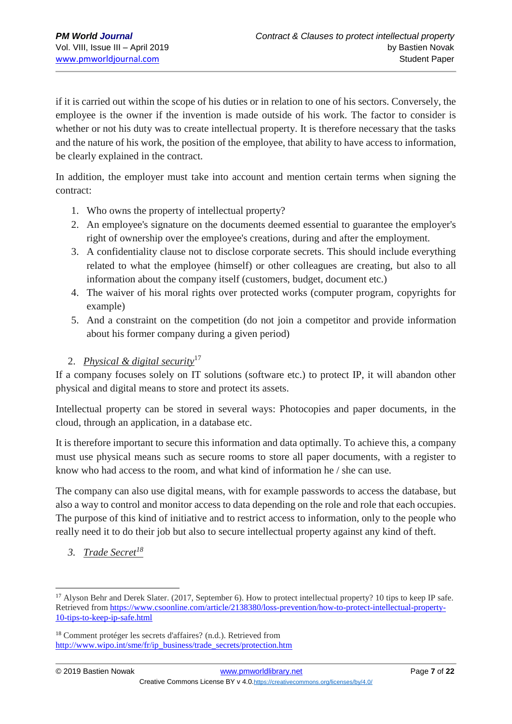if it is carried out within the scope of his duties or in relation to one of his sectors. Conversely, the employee is the owner if the invention is made outside of his work. The factor to consider is whether or not his duty was to create intellectual property. It is therefore necessary that the tasks and the nature of his work, the position of the employee, that ability to have access to information, be clearly explained in the contract.

In addition, the employer must take into account and mention certain terms when signing the contract:

- 1. Who owns the property of intellectual property?
- 2. An employee's signature on the documents deemed essential to guarantee the employer's right of ownership over the employee's creations, during and after the employment.
- 3. A confidentiality clause not to disclose corporate secrets. This should include everything related to what the employee (himself) or other colleagues are creating, but also to all information about the company itself (customers, budget, document etc.)
- 4. The waiver of his moral rights over protected works (computer program, copyrights for example)
- 5. And a constraint on the competition (do not join a competitor and provide information about his former company during a given period)

### 2. *Physical & digital security*<sup>17</sup>

If a company focuses solely on IT solutions (software etc.) to protect IP, it will abandon other physical and digital means to store and protect its assets.

Intellectual property can be stored in several ways: Photocopies and paper documents, in the cloud, through an application, in a database etc.

It is therefore important to secure this information and data optimally. To achieve this, a company must use physical means such as secure rooms to store all paper documents, with a register to know who had access to the room, and what kind of information he / she can use.

The company can also use digital means, with for example passwords to access the database, but also a way to control and monitor access to data depending on the role and role that each occupies. The purpose of this kind of initiative and to restrict access to information, only to the people who really need it to do their job but also to secure intellectual property against any kind of theft.

*3. Trade Secret<sup>18</sup>*

<sup>&</sup>lt;sup>17</sup> Alyson Behr and Derek Slater. (2017, September 6). How to protect intellectual property? 10 tips to keep IP safe. Retrieved from [https://www.csoonline.com/article/2138380/loss-prevention/how-to-protect-intellectual-property-](https://www.csoonline.com/article/2138380/loss-prevention/how-to-protect-intellectual-property-10-tips-to-keep-ip-safe.html)[10-tips-to-keep-ip-safe.html](https://www.csoonline.com/article/2138380/loss-prevention/how-to-protect-intellectual-property-10-tips-to-keep-ip-safe.html)

<sup>18</sup> Comment protéger les secrets d'affaires? (n.d.). Retrieved from [http://www.wipo.int/sme/fr/ip\\_business/trade\\_secrets/protection.htm](http://www.wipo.int/sme/fr/ip_business/trade_secrets/protection.htm)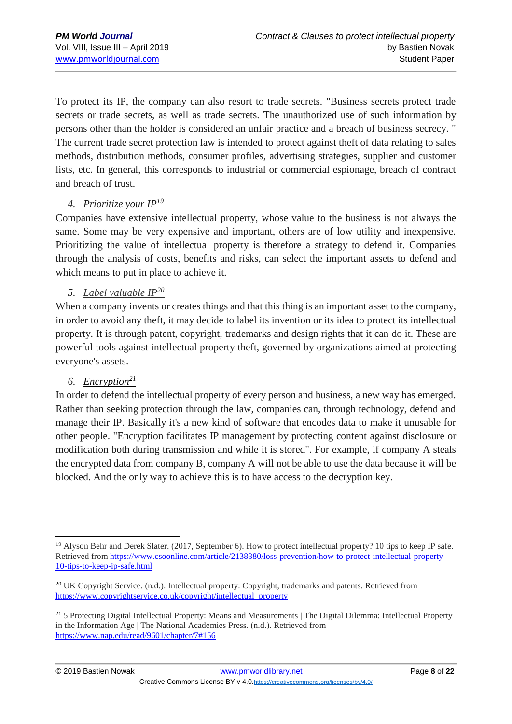To protect its IP, the company can also resort to trade secrets. "Business secrets protect trade secrets or trade secrets, as well as trade secrets. The unauthorized use of such information by persons other than the holder is considered an unfair practice and a breach of business secrecy. " The current trade secret protection law is intended to protect against theft of data relating to sales methods, distribution methods, consumer profiles, advertising strategies, supplier and customer lists, etc. In general, this corresponds to industrial or commercial espionage, breach of contract and breach of trust.

### *4. Prioritize your IP<sup>19</sup>*

Companies have extensive intellectual property, whose value to the business is not always the same. Some may be very expensive and important, others are of low utility and inexpensive. Prioritizing the value of intellectual property is therefore a strategy to defend it. Companies through the analysis of costs, benefits and risks, can select the important assets to defend and which means to put in place to achieve it.

### *5. Label valuable IP<sup>20</sup>*

When a company invents or creates things and that this thing is an important asset to the company, in order to avoid any theft, it may decide to label its invention or its idea to protect its intellectual property. It is through patent, copyright, trademarks and design rights that it can do it. These are powerful tools against intellectual property theft, governed by organizations aimed at protecting everyone's assets.

#### *6. Encryption<sup>21</sup>*

In order to defend the intellectual property of every person and business, a new way has emerged. Rather than seeking protection through the law, companies can, through technology, defend and manage their IP. Basically it's a new kind of software that encodes data to make it unusable for other people. "Encryption facilitates IP management by protecting content against disclosure or modification both during transmission and while it is stored". For example, if company A steals the encrypted data from company B, company A will not be able to use the data because it will be blocked. And the only way to achieve this is to have access to the decryption key.

<sup>1</sup> <sup>19</sup> Alyson Behr and Derek Slater. (2017, September 6). How to protect intellectual property? 10 tips to keep IP safe. Retrieved from [https://www.csoonline.com/article/2138380/loss-prevention/how-to-protect-intellectual-property-](https://www.csoonline.com/article/2138380/loss-prevention/how-to-protect-intellectual-property-10-tips-to-keep-ip-safe.html)[10-tips-to-keep-ip-safe.html](https://www.csoonline.com/article/2138380/loss-prevention/how-to-protect-intellectual-property-10-tips-to-keep-ip-safe.html)

<sup>&</sup>lt;sup>20</sup> UK Copyright Service. (n.d.). Intellectual property: Copyright, trademarks and patents. Retrieved from [https://www.copyrightservice.co.uk/copyright/intellectual\\_property](https://www.copyrightservice.co.uk/copyright/intellectual_property)

<sup>&</sup>lt;sup>21</sup> 5 Protecting Digital Intellectual Property: Means and Measurements | The Digital Dilemma: Intellectual Property in the Information Age | The National Academies Press. (n.d.). Retrieved from <https://www.nap.edu/read/9601/chapter/7#156>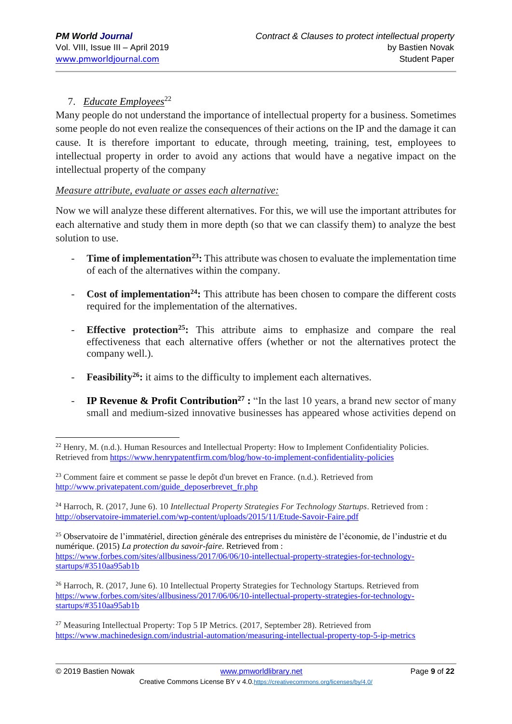### 7. *Educate Employees*<sup>22</sup>

Many people do not understand the importance of intellectual property for a business. Sometimes some people do not even realize the consequences of their actions on the IP and the damage it can cause. It is therefore important to educate, through meeting, training, test, employees to intellectual property in order to avoid any actions that would have a negative impact on the intellectual property of the company

#### *Measure attribute, evaluate or asses each alternative:*

Now we will analyze these different alternatives. For this, we will use the important attributes for each alternative and study them in more depth (so that we can classify them) to analyze the best solution to use.

- **Time of implementation<sup>23</sup>**: This attribute was chosen to evaluate the implementation time of each of the alternatives within the company.
- Cost of **implementation<sup>24</sup>**: This attribute has been chosen to compare the different costs required for the implementation of the alternatives.
- **Effective protection<sup>25</sup>:** This attribute aims to emphasize and compare the real effectiveness that each alternative offers (whether or not the alternatives protect the company well.).
- **Feasibility<sup>26</sup>**: it aims to the difficulty to implement each alternatives.
- **IP Revenue & Profit Contribution<sup>27</sup> :** "In the last 10 years, a brand new sector of many small and medium-sized innovative businesses has appeared whose activities depend on

<sup>24</sup> Harroch, R. (2017, June 6). 10 *Intellectual Property Strategies For Technology Startups*. Retrieved from : <http://observatoire-immateriel.com/wp-content/uploads/2015/11/Etude-Savoir-Faire.pdf>

<sup>25</sup> Observatoire de l'immatériel, direction générale des entreprises du ministère de l'économie, de l'industrie et du numérique. (2015) *La protection du savoir-faire*. Retrieved from : [https://www.forbes.com/sites/allbusiness/2017/06/06/10-intellectual-property-strategies-for-technology](https://www.forbes.com/sites/allbusiness/2017/06/06/10-intellectual-property-strategies-for-technology-startups/#3510aa95ab1b)[startups/#3510aa95ab1b](https://www.forbes.com/sites/allbusiness/2017/06/06/10-intellectual-property-strategies-for-technology-startups/#3510aa95ab1b)

<sup>26</sup> Harroch, R. (2017, June 6). 10 Intellectual Property Strategies for Technology Startups. Retrieved from [https://www.forbes.com/sites/allbusiness/2017/06/06/10-intellectual-property-strategies-for-technology](https://www.forbes.com/sites/allbusiness/2017/06/06/10-intellectual-property-strategies-for-technology-startups/#3510aa95ab1b)[startups/#3510aa95ab1b](https://www.forbes.com/sites/allbusiness/2017/06/06/10-intellectual-property-strategies-for-technology-startups/#3510aa95ab1b)

<sup>27</sup> Measuring Intellectual Property: Top 5 IP Metrics. (2017, September 28). Retrieved from <https://www.machinedesign.com/industrial-automation/measuring-intellectual-property-top-5-ip-metrics>

<sup>&</sup>lt;u>.</u> <sup>22</sup> Henry, M. (n.d.). Human Resources and Intellectual Property: How to Implement Confidentiality Policies. Retrieved from<https://www.henrypatentfirm.com/blog/how-to-implement-confidentiality-policies>

<sup>23</sup> Comment faire et comment se passe le depôt d'un brevet en France. (n.d.). Retrieved from [http://www.privatepatent.com/guide\\_deposerbrevet\\_fr.php](http://www.privatepatent.com/guide_deposerbrevet_fr.php)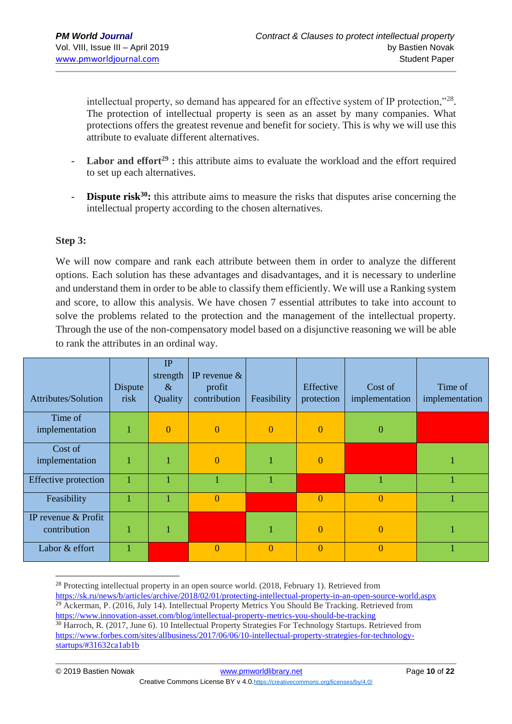intellectual property, so demand has appeared for an effective system of IP protection,"<sup>28</sup>. The protection of intellectual property is seen as an asset by many companies. What protections offers the greatest revenue and benefit for society. This is why we will use this attribute to evaluate different alternatives.

- Labor and effort<sup>29</sup> **:** this attribute aims to evaluate the workload and the effort required to set up each alternatives.
- **Dispute risk<sup>30</sup>:** this attribute aims to measure the risks that disputes arise concerning the intellectual property according to the chosen alternatives.

#### **Step 3:**

We will now compare and rank each attribute between them in order to analyze the different options. Each solution has these advantages and disadvantages, and it is necessary to underline and understand them in order to be able to classify them efficiently. We will use a Ranking system and score, to allow this analysis. We have chosen 7 essential attributes to take into account to solve the problems related to the protection and the management of the intellectual property. Through the use of the non-compensatory model based on a disjunctive reasoning we will be able to rank the attributes in an ordinal way.

| Attributes/Solution                 | Dispute<br>risk | IP<br>strength<br>$\&$<br>Quality | IP revenue $\&$<br>profit<br>contribution | Feasibility | Effective<br>protection | Cost of<br>implementation | Time of<br>implementation |
|-------------------------------------|-----------------|-----------------------------------|-------------------------------------------|-------------|-------------------------|---------------------------|---------------------------|
| Time of<br>implementation           | 1               | $\overline{0}$                    | $\mathbf{0}$                              | $\theta$    | $\overline{0}$          | $\overline{0}$            |                           |
| Cost of<br>implementation           |                 |                                   | $\overline{0}$                            |             | $\Omega$                |                           |                           |
| <b>Effective protection</b>         |                 |                                   |                                           |             |                         |                           |                           |
| Feasibility                         |                 |                                   | $\overline{0}$                            |             | $\overline{0}$          | $\overline{0}$            |                           |
| IP revenue & Profit<br>contribution |                 |                                   |                                           |             | $\Omega$                | $\overline{0}$            |                           |
| Labor & effort                      |                 |                                   | $\Omega$                                  | $\Omega$    | $\theta$                | $\overline{0}$            |                           |

<sup>&</sup>lt;sup>28</sup> Protecting intellectual property in an open source world. (2018, February 1). Retrieved from <https://sk.ru/news/b/articles/archive/2018/02/01/protecting-intellectual-property-in-an-open-source-world.aspx> <sup>29</sup> Ackerman, P. (2016, July 14). Intellectual Property Metrics You Should Be Tracking. Retrieved from <https://www.innovation-asset.com/blog/intellectual-property-metrics-you-should-be-tracking>

<sup>&</sup>lt;sup>30</sup> Harroch, R. (2017, June 6). 10 Intellectual Property Strategies For Technology Startups. Retrieved from [https://www.forbes.com/sites/allbusiness/2017/06/06/10-intellectual-property-strategies-for-technology](https://www.forbes.com/sites/allbusiness/2017/06/06/10-intellectual-property-strategies-for-technology-startups/#31632ca1ab1b)[startups/#31632ca1ab1b](https://www.forbes.com/sites/allbusiness/2017/06/06/10-intellectual-property-strategies-for-technology-startups/#31632ca1ab1b)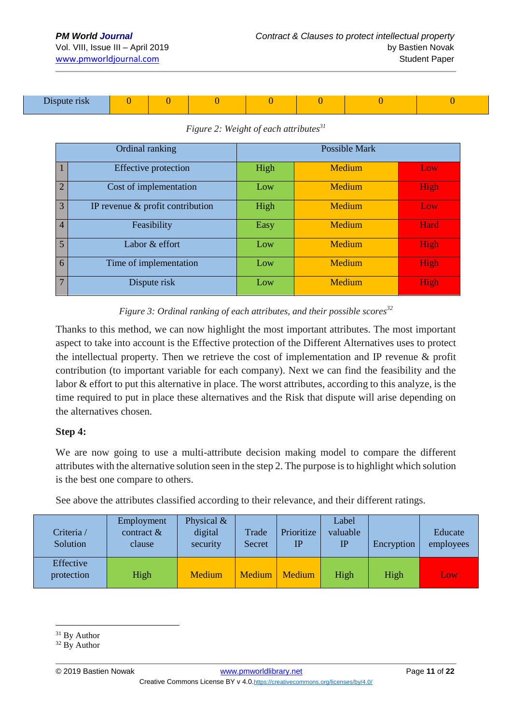| $-1$<br>$\sim$ 119 $\bm{V}$<br>$-$ |  |  |  |  |  |  |  |
|------------------------------------|--|--|--|--|--|--|--|
|------------------------------------|--|--|--|--|--|--|--|

|                 | Ordinal ranking                     | <b>Possible Mark</b> |        |                  |  |  |  |  |
|-----------------|-------------------------------------|----------------------|--------|------------------|--|--|--|--|
| $\mathbf{1}$    | <b>Effective protection</b>         | High                 | Medium | Low <sub>1</sub> |  |  |  |  |
| $\overline{2}$  | Cost of implementation              | Low                  | Medium | High             |  |  |  |  |
| $\overline{3}$  | IP revenue $\&$ profit contribution | High                 | Medium | Low/             |  |  |  |  |
| $\overline{4}$  | Feasibility                         | Easy                 | Medium | Hard             |  |  |  |  |
| $\overline{5}$  | Labor & effort                      | Low                  | Medium | High             |  |  |  |  |
| 6               | Time of implementation              | Low                  | Medium | High             |  |  |  |  |
| $7\phantom{.0}$ | Dispute risk                        | Low                  | Medium | High             |  |  |  |  |

#### *Figure 2: Weight of each attributes<sup>31</sup>*

*Figure 3: Ordinal ranking of each attributes, and their possible scores<sup>32</sup>*

Thanks to this method, we can now highlight the most important attributes. The most important aspect to take into account is the Effective protection of the Different Alternatives uses to protect the intellectual property. Then we retrieve the cost of implementation and IP revenue & profit contribution (to important variable for each company). Next we can find the feasibility and the labor & effort to put this alternative in place. The worst attributes, according to this analyze, is the time required to put in place these alternatives and the Risk that dispute will arise depending on the alternatives chosen.

#### **Step 4:**

We are now going to use a multi-attribute decision making model to compare the different attributes with the alternative solution seen in the step 2. The purpose is to highlight which solution is the best one compare to others.

See above the attributes classified according to their relevance, and their different ratings.

| Criteria /<br>Solution  | Employment<br>contract $\&$<br>clause | Physical $\&$<br>digital<br>security | Trade<br>Secret | Prioritize<br>$_{\rm IP}$ | Label<br>valuable<br>$_{\rm IP}$ | Encryption | Educate<br>employees |
|-------------------------|---------------------------------------|--------------------------------------|-----------------|---------------------------|----------------------------------|------------|----------------------|
| Effective<br>protection | High                                  | Medium                               | <b>Medium</b>   | Medium                    | High                             | High       | Low                  |

<sup>&</sup>lt;u>.</u> <sup>31</sup> By Author

<sup>&</sup>lt;sup>32</sup> By Author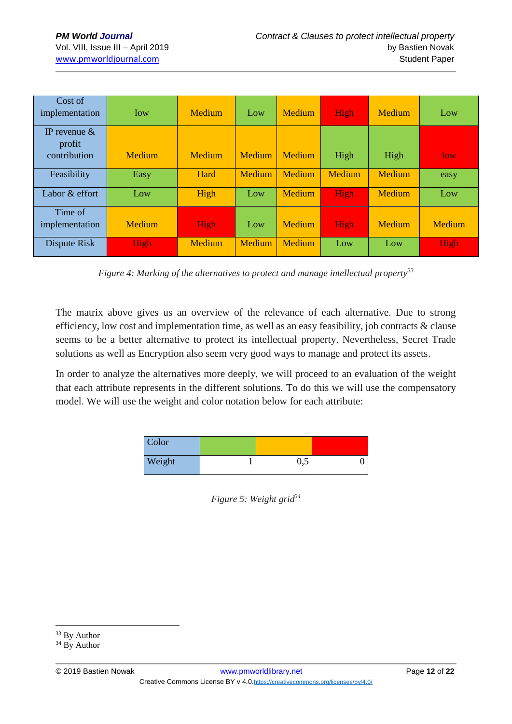| Cost of<br>implementation                 | low           | Medium | Low    | Medium | High   | <b>Medium</b> | Low    |
|-------------------------------------------|---------------|--------|--------|--------|--------|---------------|--------|
| IP revenue $\&$<br>profit<br>contribution | <b>Medium</b> | Medium | Medium | Medium | High   | High          | low    |
| Feasibility                               | Easy          | Hard   | Medium | Medium | Medium | Medium        | easy   |
| Labor & effort                            | Low           | High   | Low    | Medium | High   | Medium        | Low    |
| Time of<br>implementation                 | <b>Medium</b> | High   | Low    | Medium | High   | Medium        | Medium |
| Dispute Risk                              | High          | Medium | Medium | Medium | Low    | Low           | High   |

*Figure 4: Marking of the alternatives to protect and manage intellectual property<sup>33</sup>*

The matrix above gives us an overview of the relevance of each alternative. Due to strong efficiency, low cost and implementation time, as well as an easy feasibility, job contracts & clause seems to be a better alternative to protect its intellectual property. Nevertheless, Secret Trade solutions as well as Encryption also seem very good ways to manage and protect its assets.

In order to analyze the alternatives more deeply, we will proceed to an evaluation of the weight that each attribute represents in the different solutions. To do this we will use the compensatory model. We will use the weight and color notation below for each attribute:

| Color  |     |  |
|--------|-----|--|
| Weight | U,J |  |

*Figure 5: Weight grid<sup>34</sup>*

<u>.</u>

<sup>&</sup>lt;sup>33</sup> By Author

<sup>&</sup>lt;sup>34</sup> By Author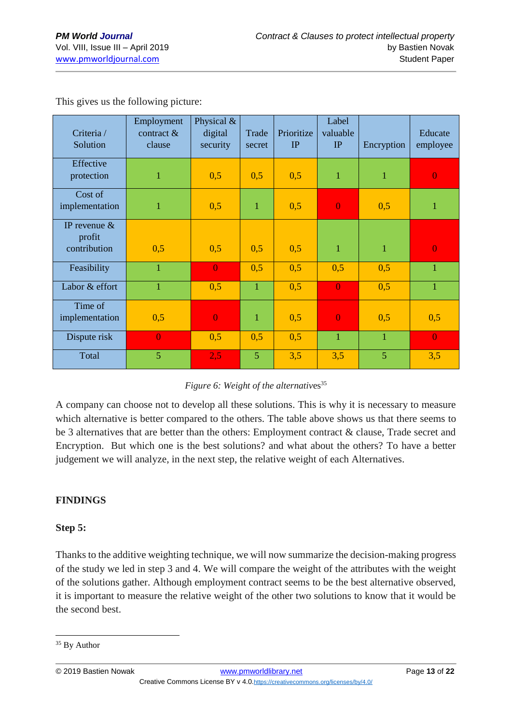| Criteria /<br>Solution                    | Employment<br>contract $\&$<br>clause | Physical &<br>digital<br>security | Trade<br>secret | Prioritize<br>IP | Label<br>valuable<br>IP | Encryption     | Educate<br>employee |
|-------------------------------------------|---------------------------------------|-----------------------------------|-----------------|------------------|-------------------------|----------------|---------------------|
| Effective<br>protection                   | $\mathbf{1}$                          | 0,5                               | 0,5             | 0,5              | $\mathbf{1}$            | $\mathbf{1}$   | $\overline{0}$      |
| Cost of<br>implementation                 | $\mathbf{1}$                          | 0,5                               | $\mathbf{1}$    | 0,5              | $\overline{0}$          | 0,5            | $\mathbf{1}$        |
| IP revenue $\&$<br>profit<br>contribution | 0,5                                   | 0,5                               | 0,5             | 0,5              | $\mathbf{1}$            | $\mathbf{1}$   | $\overline{0}$      |
| Feasibility                               | $\overline{1}$                        | $\overline{0}$                    | 0,5             | 0,5              | 0,5                     | 0,5            | 1                   |
| Labor & effort                            | $\mathbf 1$                           | 0,5                               | $\mathbf{1}$    | 0,5              | $\overline{0}$          | 0,5            | 1                   |
| Time of<br>implementation                 | 0,5                                   | $\overline{0}$                    | $\mathbf{1}$    | 0,5              | $\overline{0}$          | 0,5            | 0,5                 |
| Dispute risk                              | $\overline{0}$                        | 0,5                               | 0,5             | 0,5              | $\mathbf{1}$            | $\mathbf{1}$   | $\mathbf{0}$        |
| Total                                     | 5                                     | 2,5                               | 5               | 3,5              | 3,5                     | $\overline{5}$ | 3,5                 |

This gives us the following picture:

#### *Figure 6: Weight of the alternatives*<sup>35</sup>

A company can choose not to develop all these solutions. This is why it is necessary to measure which alternative is better compared to the others. The table above shows us that there seems to be 3 alternatives that are better than the others: Employment contract & clause, Trade secret and Encryption. But which one is the best solutions? and what about the others? To have a better judgement we will analyze, in the next step, the relative weight of each Alternatives.

#### **FINDINGS**

#### **Step 5:**

Thanks to the additive weighting technique, we will now summarize the decision-making progress of the study we led in step 3 and 4. We will compare the weight of the attributes with the weight of the solutions gather. Although employment contract seems to be the best alternative observed, it is important to measure the relative weight of the other two solutions to know that it would be the second best.

<sup>1</sup> <sup>35</sup> By Author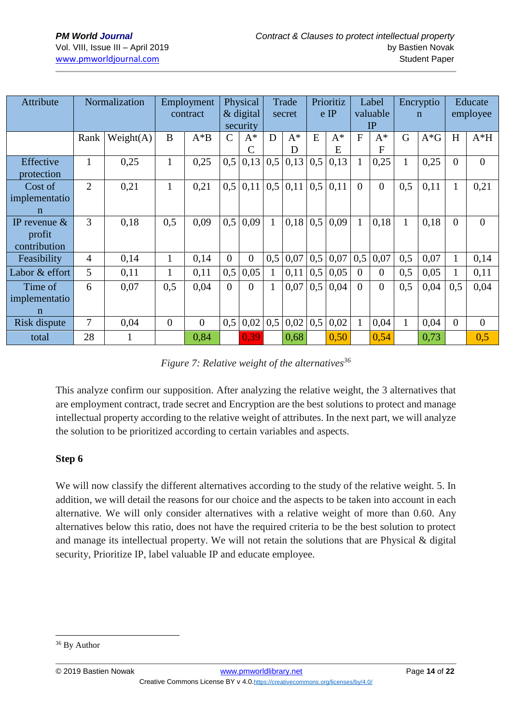| Attribute                                | Normalization  |           | Physical<br>Employment<br>$\&$ digital<br>contract<br>security |          |               | Trade<br>secret |     | Prioritiz<br>$e$ IP |     | Label<br>valuable<br>IP |                | Encryptio<br>$\mathbf n$ |              | Educate<br>employee |          |          |
|------------------------------------------|----------------|-----------|----------------------------------------------------------------|----------|---------------|-----------------|-----|---------------------|-----|-------------------------|----------------|--------------------------|--------------|---------------------|----------|----------|
|                                          | Rank           | Weight(A) | B                                                              | $A^*B$   | $\mathcal{C}$ | $A^*$<br>C      | D   | $A^*$<br>D          | E   | $A^*$<br>E              | $\overline{F}$ | $A^*$<br>$\mathbf{F}$    | G            | $A*G$               | H        | $A*H$    |
| Effective<br>protection                  | 1              | 0,25      | $\mathbf{1}$                                                   | 0,25     | 0,5           | 0,13            | 0,5 | 0,13                | 0,5 | 0,13                    | $\mathbf{1}$   | 0,25                     |              | 0,25                | $\Omega$ | $\theta$ |
| Cost of<br>implementatio<br>$\mathbf n$  | $\overline{2}$ | 0,21      | 1                                                              | 0,21     | 0,5           | 0,11            | 0,5 | 0,11                | 0,5 | 0,11                    | $\overline{0}$ | $\overline{0}$           | 0,5          | 0,11                | 1        | 0,21     |
| IP revenue $&$<br>profit<br>contribution | 3              | 0,18      | 0,5                                                            | 0.09     | 0,5           | 0,09            |     | 0,18                | 0,5 | 0,09                    | $\mathbf{1}$   | 0,18                     | 1            | 0.18                | $\Omega$ | $\theta$ |
| Feasibility                              | $\overline{4}$ | 0.14      | $\mathbf{1}$                                                   | 0.14     | $\Omega$      | $\theta$        | 0.5 | 0,07                | 0,5 | 0,07                    | 0,5            | 0,07                     | 0.5          | 0.07                | 1        | 0,14     |
| Labor & effort                           | 5              | 0,11      |                                                                | 0,11     | 0,5           | 0,05            |     | 0,11                | 0,5 | 0,05                    | $\Omega$       | $\Omega$                 | 0,5          | 0,05                |          | 0,11     |
| Time of<br>implementatio<br>$\mathbf n$  | 6              | 0,07      | 0,5                                                            | 0.04     | $\Omega$      | $\Omega$        | 1   | 0,07                | 0,5 | 0,04                    | $\overline{0}$ | $\Omega$                 | 0,5          | 0,04                | 0,5      | 0,04     |
| Risk dispute                             | 7              | 0.04      | $\overline{0}$                                                 | $\theta$ | 0,5           | 0,02            | 0.5 | 0,02                | 0,5 | 0,02                    | 1              | 0,04                     | $\mathbf{1}$ | 0,04                | $\Omega$ | $\Omega$ |
| total                                    | 28             |           |                                                                | 0,84     |               | 0.39            |     | 0,68                |     | 0,50                    |                | 0,54                     |              | 0,73                |          | 0,5      |

*Figure 7: Relative weight of the alternatives<sup>36</sup>*

This analyze confirm our supposition. After analyzing the relative weight, the 3 alternatives that are employment contract, trade secret and Encryption are the best solutions to protect and manage intellectual property according to the relative weight of attributes. In the next part, we will analyze the solution to be prioritized according to certain variables and aspects.

#### **Step 6**

We will now classify the different alternatives according to the study of the relative weight. 5. In addition, we will detail the reasons for our choice and the aspects to be taken into account in each alternative. We will only consider alternatives with a relative weight of more than 0.60. Any alternatives below this ratio, does not have the required criteria to be the best solution to protect and manage its intellectual property. We will not retain the solutions that are Physical & digital security, Prioritize IP, label valuable IP and educate employee.

<sup>1</sup> <sup>36</sup> By Author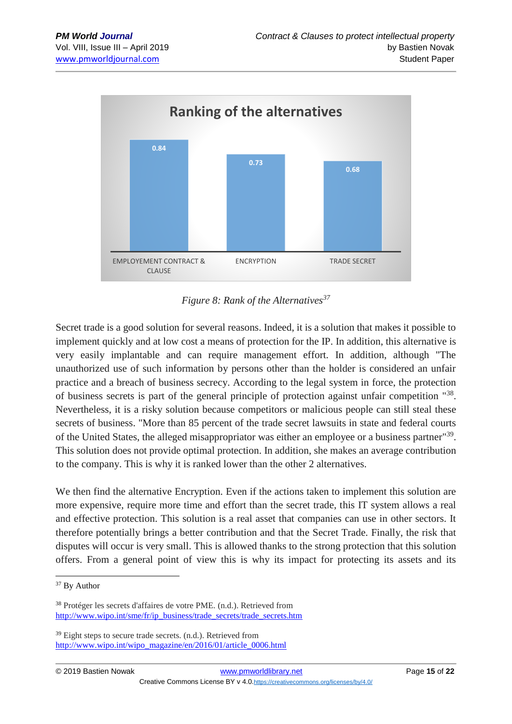

*Figure 8: Rank of the Alternatives<sup>37</sup>*

Secret trade is a good solution for several reasons. Indeed, it is a solution that makes it possible to implement quickly and at low cost a means of protection for the IP. In addition, this alternative is very easily implantable and can require management effort. In addition, although "The unauthorized use of such information by persons other than the holder is considered an unfair practice and a breach of business secrecy. According to the legal system in force, the protection of business secrets is part of the general principle of protection against unfair competition "38. Nevertheless, it is a risky solution because competitors or malicious people can still steal these secrets of business. "More than 85 percent of the trade secret lawsuits in state and federal courts of the United States, the alleged misappropriator was either an employee or a business partner"<sup>39</sup>. This solution does not provide optimal protection. In addition, she makes an average contribution to the company. This is why it is ranked lower than the other 2 alternatives.

We then find the alternative Encryption. Even if the actions taken to implement this solution are more expensive, require more time and effort than the secret trade, this IT system allows a real and effective protection. This solution is a real asset that companies can use in other sectors. It therefore potentially brings a better contribution and that the Secret Trade. Finally, the risk that disputes will occur is very small. This is allowed thanks to the strong protection that this solution offers. From a general point of view this is why its impact for protecting its assets and its

<sup>1</sup> <sup>37</sup> By Author

<sup>38</sup> Protéger les secrets d'affaires de votre PME. (n.d.). Retrieved from [http://www.wipo.int/sme/fr/ip\\_business/trade\\_secrets/trade\\_secrets.htm](http://www.wipo.int/sme/fr/ip_business/trade_secrets/trade_secrets.htm)

<sup>&</sup>lt;sup>39</sup> Eight steps to secure trade secrets. (n.d.). Retrieved from [http://www.wipo.int/wipo\\_magazine/en/2016/01/article\\_0006.html](http://www.wipo.int/wipo_magazine/en/2016/01/article_0006.html)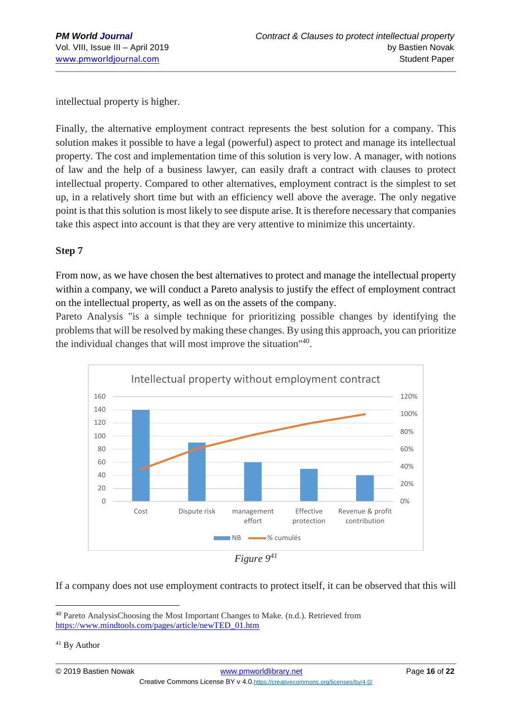intellectual property is higher.

Finally, the alternative employment contract represents the best solution for a company. This solution makes it possible to have a legal (powerful) aspect to protect and manage its intellectual property. The cost and implementation time of this solution is very low. A manager, with notions of law and the help of a business lawyer, can easily draft a contract with clauses to protect intellectual property. Compared to other alternatives, employment contract is the simplest to set up, in a relatively short time but with an efficiency well above the average. The only negative point is that this solution is most likely to see dispute arise. It is therefore necessary that companies take this aspect into account is that they are very attentive to minimize this uncertainty.

### **Step 7**

From now, as we have chosen the best alternatives to protect and manage the intellectual property within a company, we will conduct a Pareto analysis to justify the effect of employment contract on the intellectual property, as well as on the assets of the company.

Pareto Analysis "is a simple technique for prioritizing possible changes by identifying the problems that will be resolved by making these changes. By using this approach, you can prioritize the individual changes that will most improve the situation"<sup>40</sup>.



*Figure 9<sup>41</sup>*

If a company does not use employment contracts to protect itself, it can be observed that this will

<sup>40</sup> Pareto AnalysisChoosing the Most Important Changes to Make. (n.d.). Retrieved from [https://www.mindtools.com/pages/article/newTED\\_01.htm](https://www.mindtools.com/pages/article/newTED_01.htm)

<sup>&</sup>lt;sup>41</sup> By Author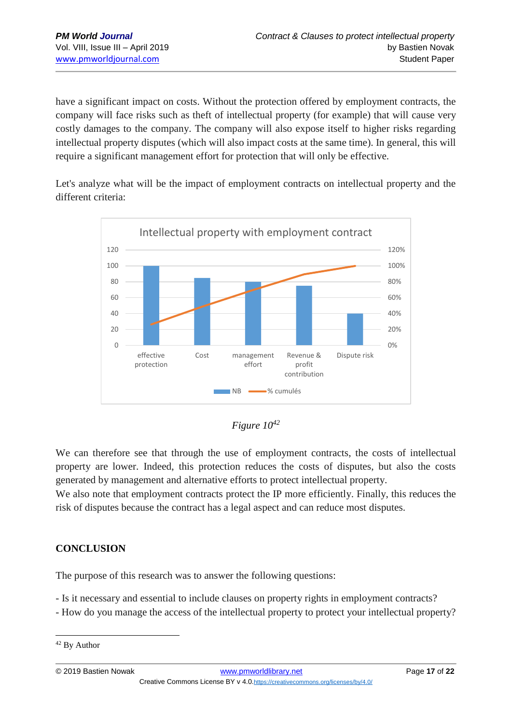have a significant impact on costs. Without the protection offered by employment contracts, the company will face risks such as theft of intellectual property (for example) that will cause very costly damages to the company. The company will also expose itself to higher risks regarding intellectual property disputes (which will also impact costs at the same time). In general, this will require a significant management effort for protection that will only be effective.

Let's analyze what will be the impact of employment contracts on intellectual property and the different criteria:





We can therefore see that through the use of employment contracts, the costs of intellectual property are lower. Indeed, this protection reduces the costs of disputes, but also the costs generated by management and alternative efforts to protect intellectual property.

We also note that employment contracts protect the IP more efficiently. Finally, this reduces the risk of disputes because the contract has a legal aspect and can reduce most disputes.

### **CONCLUSION**

The purpose of this research was to answer the following questions:

- Is it necessary and essential to include clauses on property rights in employment contracts?

- How do you manage the access of the intellectual property to protect your intellectual property?

<sup>1</sup> <sup>42</sup> By Author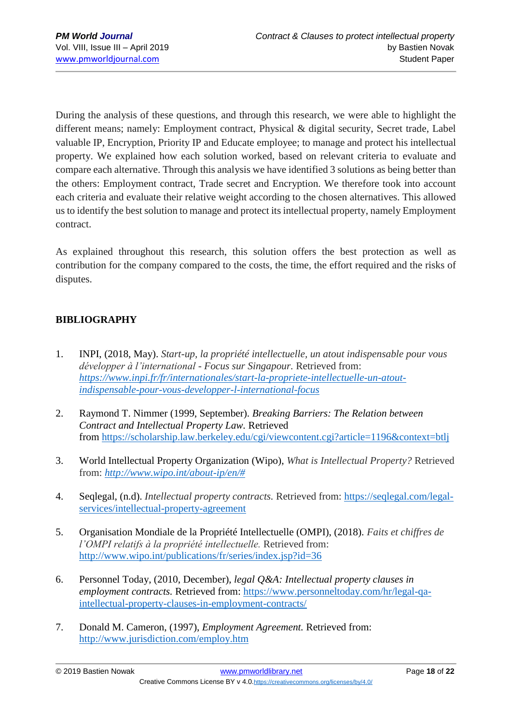During the analysis of these questions, and through this research, we were able to highlight the different means; namely: Employment contract, Physical & digital security, Secret trade, Label valuable IP, Encryption, Priority IP and Educate employee; to manage and protect his intellectual property. We explained how each solution worked, based on relevant criteria to evaluate and compare each alternative. Through this analysis we have identified 3 solutions as being better than the others: Employment contract, Trade secret and Encryption. We therefore took into account each criteria and evaluate their relative weight according to the chosen alternatives. This allowed us to identify the best solution to manage and protect its intellectual property, namely Employment contract.

As explained throughout this research, this solution offers the best protection as well as contribution for the company compared to the costs, the time, the effort required and the risks of disputes.

### **BIBLIOGRAPHY**

- 1. INPI, (2018, May). *Start-up, la propriété intellectuelle, un atout indispensable pour vous développer à l'international - Focus sur Singapour.* Retrieved from: *[https://www.inpi.fr/fr/internationales/start-la-propriete-intellectuelle-un-atout](https://www.inpi.fr/fr/internationales/start-la-propriete-intellectuelle-un-atout-indispensable-pour-vous-developper-l-international-focus)[indispensable-pour-vous-developper-l-international-focus](https://www.inpi.fr/fr/internationales/start-la-propriete-intellectuelle-un-atout-indispensable-pour-vous-developper-l-international-focus)*
- 2. Raymond T. Nimmer (1999, September). *Breaking Barriers: The Relation between Contract and Intellectual Property Law.* Retrieved from <https://scholarship.law.berkeley.edu/cgi/viewcontent.cgi?article=1196&context=btlj>
- 3. World Intellectual Property Organization (Wipo), *What is Intellectual Property?* Retrieved from: *[http://www.wipo.int/about-ip/en/#](http://www.wipo.int/about-ip/en/)*
- 4. Seqlegal, (n.d). *Intellectual property contracts.* Retrieved from: [https://seqlegal.com/legal](https://seqlegal.com/legal-services/intellectual-property-agreement)[services/intellectual-property-agreement](https://seqlegal.com/legal-services/intellectual-property-agreement)
- 5. Organisation Mondiale de la Propriété Intellectuelle (OMPI), (2018). *Faits et chiffres de l'OMPI relatifs à la propriété intellectuelle.* Retrieved from: <http://www.wipo.int/publications/fr/series/index.jsp?id=36>
- 6. Personnel Today, (2010, December), *legal Q&A: Intellectual property clauses in employment contracts.* Retrieved from: [https://www.personneltoday.com/hr/legal-qa](https://www.personneltoday.com/hr/legal-qa-intellectual-property-clauses-in-employment-contracts/)[intellectual-property-clauses-in-employment-contracts/](https://www.personneltoday.com/hr/legal-qa-intellectual-property-clauses-in-employment-contracts/)
- 7. Donald M. Cameron, (1997), *Employment Agreement.* Retrieved from: <http://www.jurisdiction.com/employ.htm>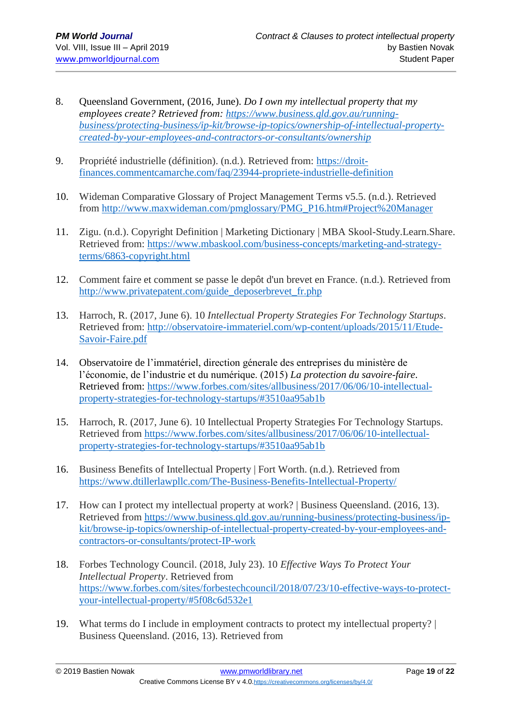- 8. Queensland Government, (2016, June). *Do I own my intellectual property that my employees create? Retrieved from: [https://www.business.qld.gov.au/running](https://www.business.qld.gov.au/running-business/protecting-business/ip-kit/browse-ip-topics/ownership-of-intellectual-property-created-by-your-employees-and-contractors-or-consultants/ownership)[business/protecting-business/ip-kit/browse-ip-topics/ownership-of-intellectual-property](https://www.business.qld.gov.au/running-business/protecting-business/ip-kit/browse-ip-topics/ownership-of-intellectual-property-created-by-your-employees-and-contractors-or-consultants/ownership)[created-by-your-employees-and-contractors-or-consultants/ownership](https://www.business.qld.gov.au/running-business/protecting-business/ip-kit/browse-ip-topics/ownership-of-intellectual-property-created-by-your-employees-and-contractors-or-consultants/ownership)*
- 9. Propriété industrielle (définition). (n.d.). Retrieved from: [https://droit](https://droit-finances.commentcamarche.com/faq/23944-propriete-industrielle-definition)[finances.commentcamarche.com/faq/23944-propriete-industrielle-definition](https://droit-finances.commentcamarche.com/faq/23944-propriete-industrielle-definition)
- 10. Wideman Comparative Glossary of Project Management Terms v5.5. (n.d.). Retrieved from [http://www.maxwideman.com/pmglossary/PMG\\_P16.htm#Project%20Manager](http://www.maxwideman.com/pmglossary/PMG_P16.htm#Project%20Manager)
- 11. Zigu. (n.d.). Copyright Definition | Marketing Dictionary | MBA Skool-Study.Learn.Share. Retrieved from: [https://www.mbaskool.com/business-concepts/marketing-and-strategy](https://www.mbaskool.com/business-concepts/marketing-and-strategy-terms/6863-copyright.html)[terms/6863-copyright.html](https://www.mbaskool.com/business-concepts/marketing-and-strategy-terms/6863-copyright.html)
- 12. Comment faire et comment se passe le depôt d'un brevet en France. (n.d.). Retrieved from [http://www.privatepatent.com/guide\\_deposerbrevet\\_fr.php](http://www.privatepatent.com/guide_deposerbrevet_fr.php)
- 13. Harroch, R. (2017, June 6). 10 *Intellectual Property Strategies For Technology Startups*. Retrieved from: [http://observatoire-immateriel.com/wp-content/uploads/2015/11/Etude-](http://observatoire-immateriel.com/wp-content/uploads/2015/11/Etude-Savoir-Faire.pdf)[Savoir-Faire.pdf](http://observatoire-immateriel.com/wp-content/uploads/2015/11/Etude-Savoir-Faire.pdf)
- 14. Observatoire de l'immatériel, direction génerale des entreprises du ministère de l'économie, de l'industrie et du numérique. (2015) *La protection du savoire-faire*. Retrieved from: [https://www.forbes.com/sites/allbusiness/2017/06/06/10-intellectual](https://www.forbes.com/sites/allbusiness/2017/06/06/10-intellectual-property-strategies-for-technology-startups/#3510aa95ab1b)[property-strategies-for-technology-startups/#3510aa95ab1b](https://www.forbes.com/sites/allbusiness/2017/06/06/10-intellectual-property-strategies-for-technology-startups/#3510aa95ab1b)
- 15. Harroch, R. (2017, June 6). 10 Intellectual Property Strategies For Technology Startups. Retrieved from [https://www.forbes.com/sites/allbusiness/2017/06/06/10-intellectual](https://www.forbes.com/sites/allbusiness/2017/06/06/10-intellectual-property-strategies-for-technology-startups/#3510aa95ab1b)[property-strategies-for-technology-startups/#3510aa95ab1b](https://www.forbes.com/sites/allbusiness/2017/06/06/10-intellectual-property-strategies-for-technology-startups/#3510aa95ab1b)
- 16. Business Benefits of Intellectual Property | Fort Worth. (n.d.). Retrieved from <https://www.dtillerlawpllc.com/The-Business-Benefits-Intellectual-Property/>
- 17. How can I protect my intellectual property at work? | Business Queensland. (2016, 13). Retrieved from [https://www.business.qld.gov.au/running-business/protecting-business/ip](https://www.business.qld.gov.au/running-business/protecting-business/ip-kit/browse-ip-topics/ownership-of-intellectual-property-created-by-your-employees-and-contractors-or-consultants/protect-IP-work)[kit/browse-ip-topics/ownership-of-intellectual-property-created-by-your-employees-and](https://www.business.qld.gov.au/running-business/protecting-business/ip-kit/browse-ip-topics/ownership-of-intellectual-property-created-by-your-employees-and-contractors-or-consultants/protect-IP-work)[contractors-or-consultants/protect-IP-work](https://www.business.qld.gov.au/running-business/protecting-business/ip-kit/browse-ip-topics/ownership-of-intellectual-property-created-by-your-employees-and-contractors-or-consultants/protect-IP-work)
- 18. Forbes Technology Council. (2018, July 23). 10 *Effective Ways To Protect Your Intellectual Property*. Retrieved from [https://www.forbes.com/sites/forbestechcouncil/2018/07/23/10-effective-ways-to-protect](https://www.forbes.com/sites/forbestechcouncil/2018/07/23/10-effective-ways-to-protect-your-intellectual-property/#5f08c6d532e1)[your-intellectual-property/#5f08c6d532e1](https://www.forbes.com/sites/forbestechcouncil/2018/07/23/10-effective-ways-to-protect-your-intellectual-property/#5f08c6d532e1)
- 19. What terms do I include in employment contracts to protect my intellectual property? | Business Queensland. (2016, 13). Retrieved from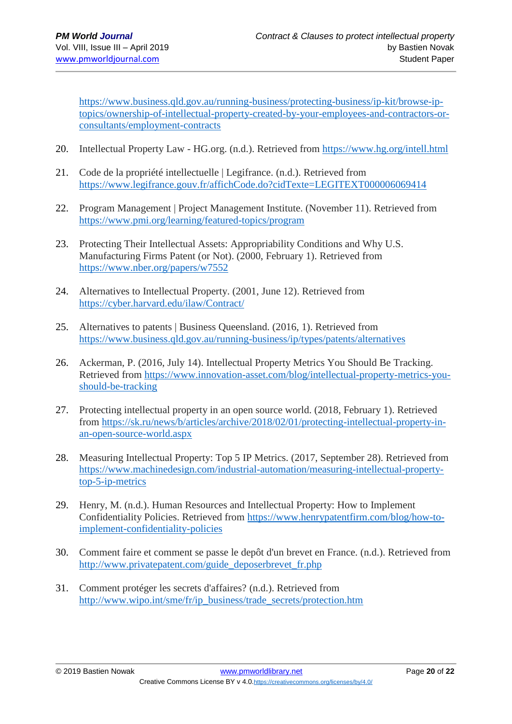[https://www.business.qld.gov.au/running-business/protecting-business/ip-kit/browse-ip](https://www.business.qld.gov.au/running-business/protecting-business/ip-kit/browse-ip-topics/ownership-of-intellectual-property-created-by-your-employees-and-contractors-or-consultants/employment-contracts)[topics/ownership-of-intellectual-property-created-by-your-employees-and-contractors-or](https://www.business.qld.gov.au/running-business/protecting-business/ip-kit/browse-ip-topics/ownership-of-intellectual-property-created-by-your-employees-and-contractors-or-consultants/employment-contracts)[consultants/employment-contracts](https://www.business.qld.gov.au/running-business/protecting-business/ip-kit/browse-ip-topics/ownership-of-intellectual-property-created-by-your-employees-and-contractors-or-consultants/employment-contracts)

- 20. Intellectual Property Law HG.org. (n.d.). Retrieved from<https://www.hg.org/intell.html>
- 21. Code de la propriété intellectuelle | Legifrance. (n.d.). Retrieved from <https://www.legifrance.gouv.fr/affichCode.do?cidTexte=LEGITEXT000006069414>
- 22. Program Management | Project Management Institute. (November 11). Retrieved from <https://www.pmi.org/learning/featured-topics/program>
- 23. Protecting Their Intellectual Assets: Appropriability Conditions and Why U.S. Manufacturing Firms Patent (or Not). (2000, February 1). Retrieved from <https://www.nber.org/papers/w7552>
- 24. Alternatives to Intellectual Property. (2001, June 12). Retrieved from <https://cyber.harvard.edu/ilaw/Contract/>
- 25. Alternatives to patents | Business Queensland. (2016, 1). Retrieved from <https://www.business.qld.gov.au/running-business/ip/types/patents/alternatives>
- 26. Ackerman, P. (2016, July 14). Intellectual Property Metrics You Should Be Tracking. Retrieved from [https://www.innovation-asset.com/blog/intellectual-property-metrics-you](https://www.innovation-asset.com/blog/intellectual-property-metrics-you-should-be-tracking)[should-be-tracking](https://www.innovation-asset.com/blog/intellectual-property-metrics-you-should-be-tracking)
- 27. Protecting intellectual property in an open source world. (2018, February 1). Retrieved from [https://sk.ru/news/b/articles/archive/2018/02/01/protecting-intellectual-property-in](https://sk.ru/news/b/articles/archive/2018/02/01/protecting-intellectual-property-in-an-open-source-world.aspx)[an-open-source-world.aspx](https://sk.ru/news/b/articles/archive/2018/02/01/protecting-intellectual-property-in-an-open-source-world.aspx)
- 28. Measuring Intellectual Property: Top 5 IP Metrics. (2017, September 28). Retrieved from [https://www.machinedesign.com/industrial-automation/measuring-intellectual-property](https://www.machinedesign.com/industrial-automation/measuring-intellectual-property-top-5-ip-metrics)[top-5-ip-metrics](https://www.machinedesign.com/industrial-automation/measuring-intellectual-property-top-5-ip-metrics)
- 29. Henry, M. (n.d.). Human Resources and Intellectual Property: How to Implement Confidentiality Policies. Retrieved from [https://www.henrypatentfirm.com/blog/how-to](https://www.henrypatentfirm.com/blog/how-to-implement-confidentiality-policies)[implement-confidentiality-policies](https://www.henrypatentfirm.com/blog/how-to-implement-confidentiality-policies)
- 30. Comment faire et comment se passe le depôt d'un brevet en France. (n.d.). Retrieved from [http://www.privatepatent.com/guide\\_deposerbrevet\\_fr.php](http://www.privatepatent.com/guide_deposerbrevet_fr.php)
- 31. Comment protéger les secrets d'affaires? (n.d.). Retrieved from [http://www.wipo.int/sme/fr/ip\\_business/trade\\_secrets/protection.htm](http://www.wipo.int/sme/fr/ip_business/trade_secrets/protection.htm)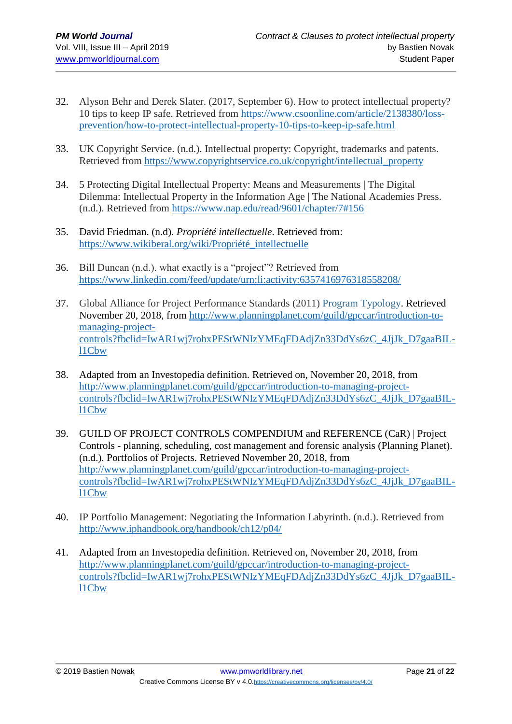- 32. Alyson Behr and Derek Slater. (2017, September 6). How to protect intellectual property? 10 tips to keep IP safe. Retrieved from [https://www.csoonline.com/article/2138380/loss](https://www.csoonline.com/article/2138380/loss-prevention/how-to-protect-intellectual-property-10-tips-to-keep-ip-safe.html)[prevention/how-to-protect-intellectual-property-10-tips-to-keep-ip-safe.html](https://www.csoonline.com/article/2138380/loss-prevention/how-to-protect-intellectual-property-10-tips-to-keep-ip-safe.html)
- 33. UK Copyright Service. (n.d.). Intellectual property: Copyright, trademarks and patents. Retrieved from [https://www.copyrightservice.co.uk/copyright/intellectual\\_property](https://www.copyrightservice.co.uk/copyright/intellectual_property)
- 34. 5 Protecting Digital Intellectual Property: Means and Measurements | The Digital Dilemma: Intellectual Property in the Information Age | The National Academies Press. (n.d.). Retrieved from<https://www.nap.edu/read/9601/chapter/7#156>
- 35. David Friedman. (n.d). *Propriété intellectuelle*. Retrieved from: [https://www.wikiberal.org/wiki/Propriété\\_intellectuelle](https://www.wikiberal.org/wiki/Propriété_intellectuelle)
- 36. Bill Duncan (n.d.). what exactly is a "project"? Retrieved from <https://www.linkedin.com/feed/update/urn:li:activity:6357416976318558208/>
- 37. Global Alliance for Project Performance Standards (2011) [Program Typology.](http://globalpmstandards.org/tools/complexity-rating/program-typology/) Retrieved November 20, 2018, from [http://www.planningplanet.com/guild/gpccar/introduction-to](http://www.planningplanet.com/guild/gpccar/introduction-to-managing-project-controls?fbclid=IwAR1wj7rohxPEStWNIzYMEqFDAdjZn33DdYs6zC_4JjJk_D7gaaBIL-l1Cbw)[managing-project](http://www.planningplanet.com/guild/gpccar/introduction-to-managing-project-controls?fbclid=IwAR1wj7rohxPEStWNIzYMEqFDAdjZn33DdYs6zC_4JjJk_D7gaaBIL-l1Cbw)[controls?fbclid=IwAR1wj7rohxPEStWNIzYMEqFDAdjZn33DdYs6zC\\_4JjJk\\_D7gaaBIL](http://www.planningplanet.com/guild/gpccar/introduction-to-managing-project-controls?fbclid=IwAR1wj7rohxPEStWNIzYMEqFDAdjZn33DdYs6zC_4JjJk_D7gaaBIL-l1Cbw)[l1Cbw](http://www.planningplanet.com/guild/gpccar/introduction-to-managing-project-controls?fbclid=IwAR1wj7rohxPEStWNIzYMEqFDAdjZn33DdYs6zC_4JjJk_D7gaaBIL-l1Cbw)
- 38. Adapted from an Investopedia definition. Retrieved on, November 20, 2018, from [http://www.planningplanet.com/guild/gpccar/introduction-to-managing-project](http://www.planningplanet.com/guild/gpccar/introduction-to-managing-project-controls?fbclid=IwAR1wj7rohxPEStWNIzYMEqFDAdjZn33DdYs6zC_4JjJk_D7gaaBIL-l1Cbw)[controls?fbclid=IwAR1wj7rohxPEStWNIzYMEqFDAdjZn33DdYs6zC\\_4JjJk\\_D7gaaBIL](http://www.planningplanet.com/guild/gpccar/introduction-to-managing-project-controls?fbclid=IwAR1wj7rohxPEStWNIzYMEqFDAdjZn33DdYs6zC_4JjJk_D7gaaBIL-l1Cbw)[l1Cbw](http://www.planningplanet.com/guild/gpccar/introduction-to-managing-project-controls?fbclid=IwAR1wj7rohxPEStWNIzYMEqFDAdjZn33DdYs6zC_4JjJk_D7gaaBIL-l1Cbw)
- 39. GUILD OF PROJECT CONTROLS COMPENDIUM and REFERENCE (CaR) | Project Controls - planning, scheduling, cost management and forensic analysis (Planning Planet). (n.d.). Portfolios of Projects. Retrieved November 20, 2018, from [http://www.planningplanet.com/guild/gpccar/introduction-to-managing-project](http://www.planningplanet.com/guild/gpccar/introduction-to-managing-project-controls?fbclid=IwAR1wj7rohxPEStWNIzYMEqFDAdjZn33DdYs6zC_4JjJk_D7gaaBIL-l1Cbw)[controls?fbclid=IwAR1wj7rohxPEStWNIzYMEqFDAdjZn33DdYs6zC\\_4JjJk\\_D7gaaBIL](http://www.planningplanet.com/guild/gpccar/introduction-to-managing-project-controls?fbclid=IwAR1wj7rohxPEStWNIzYMEqFDAdjZn33DdYs6zC_4JjJk_D7gaaBIL-l1Cbw)[l1Cbw](http://www.planningplanet.com/guild/gpccar/introduction-to-managing-project-controls?fbclid=IwAR1wj7rohxPEStWNIzYMEqFDAdjZn33DdYs6zC_4JjJk_D7gaaBIL-l1Cbw)
- 40. IP Portfolio Management: Negotiating the Information Labyrinth. (n.d.). Retrieved from <http://www.iphandbook.org/handbook/ch12/p04/>
- 41. Adapted from an Investopedia definition. Retrieved on, November 20, 2018, from [http://www.planningplanet.com/guild/gpccar/introduction-to-managing-project](http://www.planningplanet.com/guild/gpccar/introduction-to-managing-project-controls?fbclid=IwAR1wj7rohxPEStWNIzYMEqFDAdjZn33DdYs6zC_4JjJk_D7gaaBIL-l1Cbw)[controls?fbclid=IwAR1wj7rohxPEStWNIzYMEqFDAdjZn33DdYs6zC\\_4JjJk\\_D7gaaBIL](http://www.planningplanet.com/guild/gpccar/introduction-to-managing-project-controls?fbclid=IwAR1wj7rohxPEStWNIzYMEqFDAdjZn33DdYs6zC_4JjJk_D7gaaBIL-l1Cbw)[l1Cbw](http://www.planningplanet.com/guild/gpccar/introduction-to-managing-project-controls?fbclid=IwAR1wj7rohxPEStWNIzYMEqFDAdjZn33DdYs6zC_4JjJk_D7gaaBIL-l1Cbw)